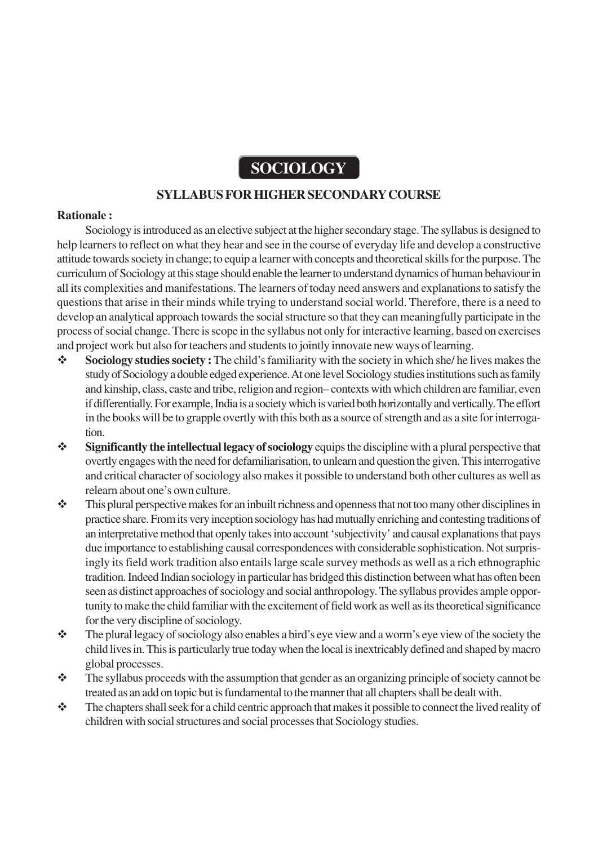# **SOCIOLOGY**

# **SYLLABUS FOR HIGHER SECONDARY COURSE**

#### **Rationale :**

Sociology is introduced as an elective subject at the higher secondary stage. The syllabus is designed to help learners to reflect on what they hear and see in the course of everyday life and develop a constructive attitude towards society in change; to equip a learner with concepts and theoretical skills for the purpose. The curriculum of Sociology at this stage should enable the learner to understand dynamics of human behaviour in all its complexities and manifestations. The learners of today need answers and explanations to satisfy the questions that arise in their minds while trying to understand social world. Therefore, there is a need to develop an analytical approach towards the social structure so that they can meaningfully participate in the process of social change. There is scope in the syllabus not only for interactive learning, based on exercises and project work but also for teachers and students to jointly innovate new ways of learning.

- **Sociology studies society :** The child's familiarity with the society in which she/ he lives makes the study of Sociology a double edged experience. At one level Sociology studies institutions such as family and kinship, class, caste and tribe, religion and region– contexts with which children are familiar, even if differentially. For example, India is a society which is varied both horizontally and vertically. The effort in the books will be to grapple overtly with this both as a source of strength and as a site for interrogation.
- **Significantly the intellectual legacy of sociology** equips the discipline with a plural perspective that overtly engages with the need for defamiliarisation, to unlearn and question the given. This interrogative and critical character of sociology also makes it possible to understand both other cultures as well as relearn about one's own culture.
- $\bullet$  This plural perspective makes for an inbuilt richness and openness that not too many other disciplines in practice share. From its very inception sociology has had mutually enriching and contesting traditions of an interpretative method that openly takes into account 'subjectivity' and causal explanations that pays due importance to establishing causal correspondences with considerable sophistication. Not surprisingly its field work tradition also entails large scale survey methods as well as a rich ethnographic tradition. Indeed Indian sociology in particular has bridged this distinction between what has often been seen as distinct approaches of sociology and social anthropology. The syllabus provides ample opportunity to make the child familiar with the excitement of field work as well as its theoretical significance for the very discipline of sociology.
- $\mathbf{\hat{P}}$  The plural legacy of sociology also enables a bird's eye view and a worm's eye view of the society the child lives in. This is particularly true today when the local is inextricably defined and shaped by macro global processes.
- \* The syllabus proceeds with the assumption that gender as an organizing principle of society cannot be treated as an add on topic but is fundamental to the manner that all chapters shall be dealt with.
- \* The chapters shall seek for a child centric approach that makes it possible to connect the lived reality of children with social structures and social processes that Sociology studies.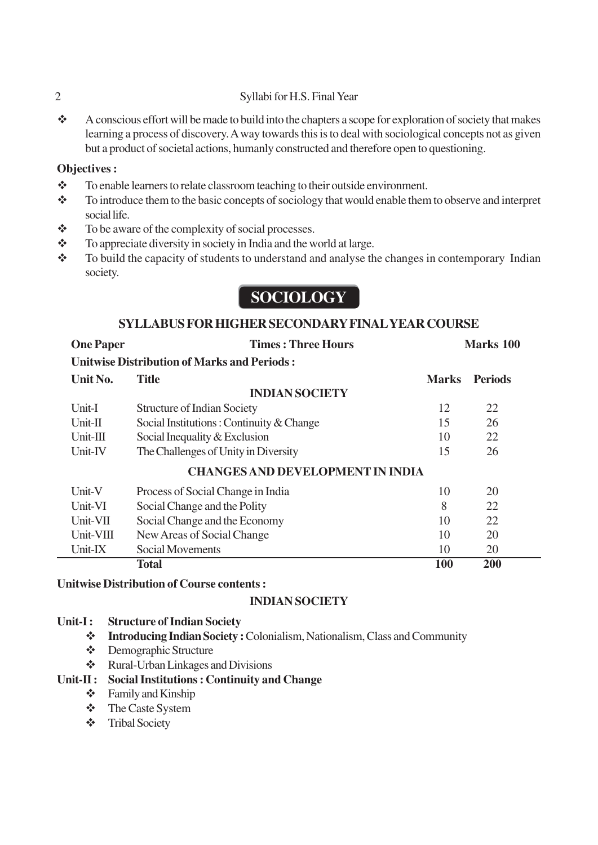# 2 Syllabi for H.S. Final Year

 A conscious effort will be made to build into the chapters a scope for exploration of society that makes learning a process of discovery. A way towards this is to deal with sociological concepts not as given but a product of societal actions, humanly constructed and therefore open to questioning.

# **Objectives :**

- \* To enable learners to relate classroom teaching to their outside environment.
- \* To introduce them to the basic concepts of sociology that would enable them to observe and interpret social life.
- $\div$  To be aware of the complexity of social processes.
- \* To appreciate diversity in society in India and the world at large.
- $\bullet$  To build the capacity of students to understand and analyse the changes in contemporary Indian society.

# **SOCIOLOGY**

# **SYLLABUS FOR HIGHER SECONDARY FINAL YEAR COURSE**

| <b>One Paper</b>                                   | <b>Times: Three Hours</b>                | Marks 100    |                |
|----------------------------------------------------|------------------------------------------|--------------|----------------|
| <b>Unitwise Distribution of Marks and Periods:</b> |                                          |              |                |
| Unit No.                                           | <b>Title</b>                             | <b>Marks</b> | <b>Periods</b> |
| <b>INDIAN SOCIETY</b>                              |                                          |              |                |
| Unit-I                                             | <b>Structure of Indian Society</b>       | 12           | 22             |
| $Unit-II$                                          | Social Institutions: Continuity & Change | 15           | 26             |
| $Unit-III$                                         | Social Inequality & Exclusion            | 10           | 22             |
| Unit-IV                                            | The Challenges of Unity in Diversity     | 15           | 26             |
| <b>CHANGES AND DEVELOPMENT IN INDIA</b>            |                                          |              |                |
| Unit-V                                             | Process of Social Change in India        | 10           | 20             |
| Unit-VI                                            | Social Change and the Polity             | 8            | 22             |
| Unit-VII                                           | Social Change and the Economy            | 10           | 22             |
| Unit-VIII                                          | New Areas of Social Change               | 10           | 20             |
| Unit-IX                                            | Social Movements                         | 10           | 20             |
|                                                    | <b>Total</b>                             | 100          | 200            |

## **Unitwise Distribution of Course contents :**

## **INDIAN SOCIETY**

## **Unit-I : Structure of Indian Society**

- **Introducing Indian Society :** Colonialism, Nationalism, Class and Community
- Demographic Structure
- Rural-Urban Linkages and Divisions

# **Unit-II : Social Institutions : Continuity and Change**

- $\div$  Family and Kinship
- The Caste System
- Tribal Society